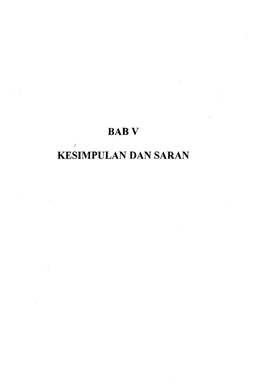## BABV

# KESIMPULAN DAN SARAN

I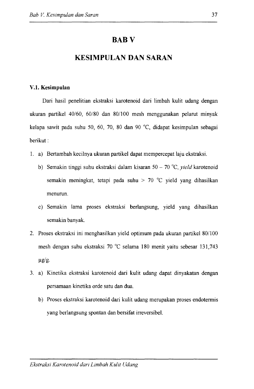### **BABV**

### **KESIMPULAN DAN SARAN**

#### V.l. **Kesimpulan**

Dari hasil penelitian ekstraksi karotenoid dari limbah kulit udang dengan ukuran partikel 40/60, 60/80 dan 80/100 mesh menggunakan pelarut minyak kelapa sawit pada suhu 50, 60, 70, 80 dan 90 °C, didapat kesimpulan sebagai berikut:

- I. a) Bertambah kecilnya ukuran partikel dapat mempercepat laju ekstraksi.
	- b) Semakin tinggi suhu ekstraksi dalam kisaran 50 70 °C, *yield* karotenoid semakin meningkat, tetapi pada suhu > 70 °C yield yang dihasilkan menurun.
	- c) Semakin lama proses ekstraksi berlangsung, yield yang dihasilkan semakin banyak.
- 2. Proses ekstraksi ini menghasilkan yield optimum pada ukuran partikel 80/100 mesh dengan suhu ekstraksi 70 °C selama 180 menit yaitu sebesar 131,743  $\mu$ g/g.
- 3. a) Kinetika ekstraksi karotenoid dari kulit udang dapat dinyakatan dengan persamaan kinetika orde satu dan dua.
	- b) Proses ekstraksi karotenoid dari kulit udang merupakan proses endotermis yang berlangsung spontan dan bersifat irreversibel.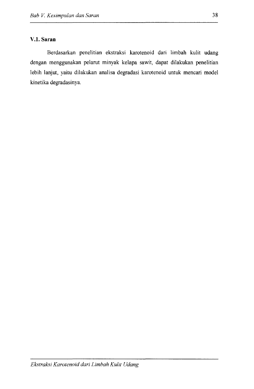#### **V.l. Saran**

Berdasarkan penelitian ekstraksi karotenoid dari limbah kulit udang dengan menggunakan pelarut minyak kelapa sawit, dapat dilakukan penelitian lebih lanjut, yaitu dilakukan analisa degradasi karotenoid untuk mencari model kinetika degradasinya.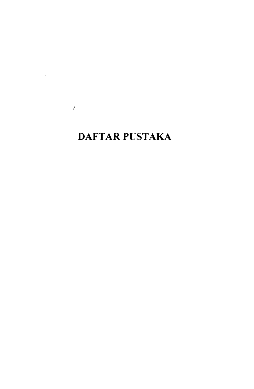## DAFTAR PUSTAKA

/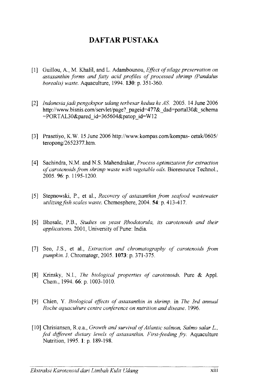## **DAFTAR PUSTAKA**

- [1) Guillou, A., M. Khalil, and L. Adambounou, *Effect of silage preservation on asta.xanthin forms and fatty acid profiles of processed shrimp (Panda/us borealis) waste.* Aquaculture, 1994. **130:** p. 351-360.
- [2] *Indonesiajadi pengekspor udang terbesar kedua ke AS.* 2005. 14 June 2006 http://www.bisnis.com/servlet/page? pageid=477&\_dad=portal30&\_schema  $=$ PORTAL30&pared id=365604&patop id=W12
- [3] Prasetiyo, K.W. 15 June 2006 http://www.kompas.com/kompas- cetak/0605/ teropong/2652377.htm.
- [4] Sachindra, N.M. and N.S. Mahendrakar, *Process optimization for extraction of carotenoids from shrimp waste with vegetable oils.* Bioresource Techno!., 2005. 96: p. 1195-1200.
- [5] Stepnowski, P., et al., *Recovery of astaxanthin from seafood wastewater utilizingfish scales waste.* Chemosphere, 2004. **54:** p. 413-417.
- [6) Bhosale, P.B., *Studies on yeast Rhodotorula, its carotenoids and their applications.* 2001, University of Pune: India.
- [7] Seo, J.S., et al., *Extraction and chromatography of carotenoids from pumpkin.* J. Chromatogr, 2005. **1073:** p. 371-375.
- [8] Krinsky, N.I., *The biological properties of carotenoids*. Pure & Appl. Chem., 1994. 66: p. 1003-1010.
- [9] Chien, Y. *Biological effects of asta.xanthin in shrimp.* in *The 3rd annual Roche aquaculture centre conference on nutrition and disease.* 1996.
- [lO] Chrisiansen, R.e.a., *Growth and survival of Atlantic salmon, Salmo salar L.,*  fed different dietary levels of astaxanthin. First-feeding fry. Aquaculture Nutrition, 1995. **1:** p. 189-198.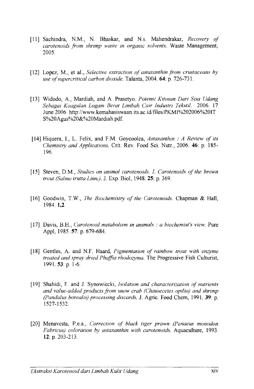- [11] Sachindra, N.M., N. Bhaskar, and N.s. Mahendrakar, *Recovery of carotenoids from shrimp waste in organic solvents.* Waste Management, 2005.
- [12] Lopez, M., et al., *Selective extraction of astaxanthin from crustaceans by use of supercritical carbon dioxide.* Talanta, 2004. 64: p. 726-731.
- [13] Widodo, A., Mardiah, and A. Prasetyo. *Potensi Kitosan Dari Sisa Udang Sebagai Koagulan Logam Berat Limbah Cair Jndustri Tekstil.* 2006. 17 June 2006 http://www.kemahasiswaan.its.ac.id/files/PKM1%202006%201T S%20Agus%20&%20Mardiah. pdf.
- [14] Hiquera, I., L. Felix, and F.M. Goycoolea, *Astaxanthin : A Review of its Chemistry and Applications.* Crit. Rev. Food Sci. Nutr., 2006. 46: p. 185- 196.
- [15] Steven, D.M., *Studies on animal carotenoids.* I. *Carotenoids of the brown trout (Salmo trutta Linn.).* J. Exp. Bioi, 1948. 25: p. 369.
- [16] Goodwin, T.W., *The Biochemistry of the Carotenoids.* Chapman & Hall, 1984. 1,2.
- [17] Davis, B.H., *Carotenoid metabolism in animals : a biochemist's view.* Pure Appl, 1985. 57: p. 679-684.
- [18] Gentles, A. and N.F. Haard, *Pigmentation of rainbow trout with enzyme treated and spray dried Phaffia rhodozyma.* The Progressive Fish Culturist, 1991. 53: p. 1-6.
- [19] Shahidi, F. and J. Synowiecki, *!solation and characterization of nutrients and value-added products fi'om snow crab (Chinoecetes opilio) and shrimp (Panda/us borealis) processing discards.* J. Agric. Food Chern, 1991. 39: p. 1527-1532.
- [20] Menavesta, P.e.a., *Correction of black tiger prawn (Penaeus monodon Fabricus) coloration by astaxanthin with carotenoids.* Aquaculture, 1993. 12: p. 203-213.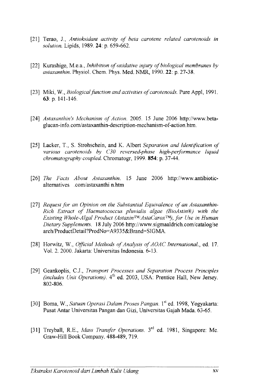- [21] Terao, J., *Antioksidant activity of beta carotene related carotenoids in solution.* Lipids, 1989. **24:** p. 659-662.
- [22] Kurashige, M.e.a., *Inhibition of oxidative injury of biological membranes by astaxanthin.* Physiol. Chern. Phys. Med. NMR, 1990.22: p. 27-38.
- [23] Miki, W., *Biological function and activities of carotenoids*. Pure Appl, 1991. 63: p. 141-146.
- [24] Astaxanthin's Mechanism of Action. 2005. 15 June 2006 http://www.betaglucan-info.com/astaxanthin-description-mechanism-of-action.htm.
- [25] Lacker, T., S. Strohschein, and K. Albert *Separation and Identification of various carotenoids by C30 reversed-phase high-performance liquid chromatography coupled.* Chromatogr, 1999. **854:** p. 37-44.
- [26] *The Facts About Astaxanthin.* 15 June 2006 http://www.antibioticalternatives .com/astaxanthi n.htm
- [27] *Request for an Opinion on the Substantial Equivalence of an Astaxanthin-Rich Extract of Haematococcus pluvialis algae (BioAstin®) with the Existing Whole-Algal Product (AstaxinTM/AstaCaroxTM), for Use in Human Dietary Supplements.* 18 July 2006 http://www.sigmaaldrich.com/catalog/se arch!ProductDetail?ProdNo=A9335&Brand=SIGMA.
- [28] Horwitz, W., *Official Methods of Analysis of AOAC International., ed. 17.* Vol. 2. 2000. Jakarta: Universitas Indonesia. 6-13.
- [29] Geankoplis, C.J., *Transport Processes and Separation Process Principles (includes Unit Operations).*  $4<sup>th</sup>$  ed. 2003, USA: Prentice Hall, New Jersey. 802-806.
- [30] Boma, W., *Satuan Operasi Dalam Proses Pangan.* 1st ed. 1998, Yogyakarta: Pusat Antar Universitas Pangan dan Gizi, Universitas Gajah Mada. 63-65.
- [31] Treyball, R.E., *Mass Transfer Operations.* 3rd ed. 1981, Singapore: Me. Graw-Hill Book Company. 488-489, 719.